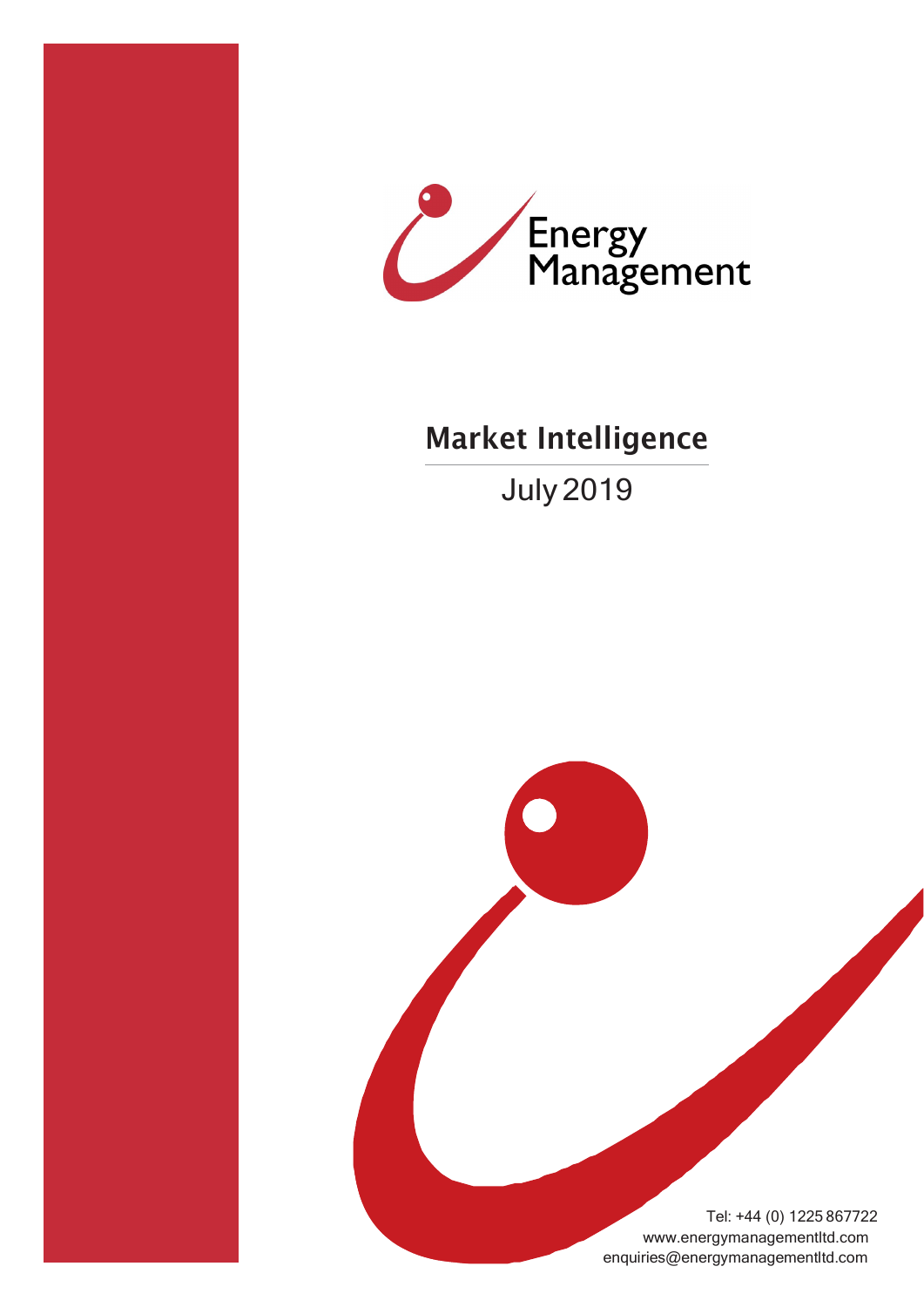



# Market Intelligence

July 2019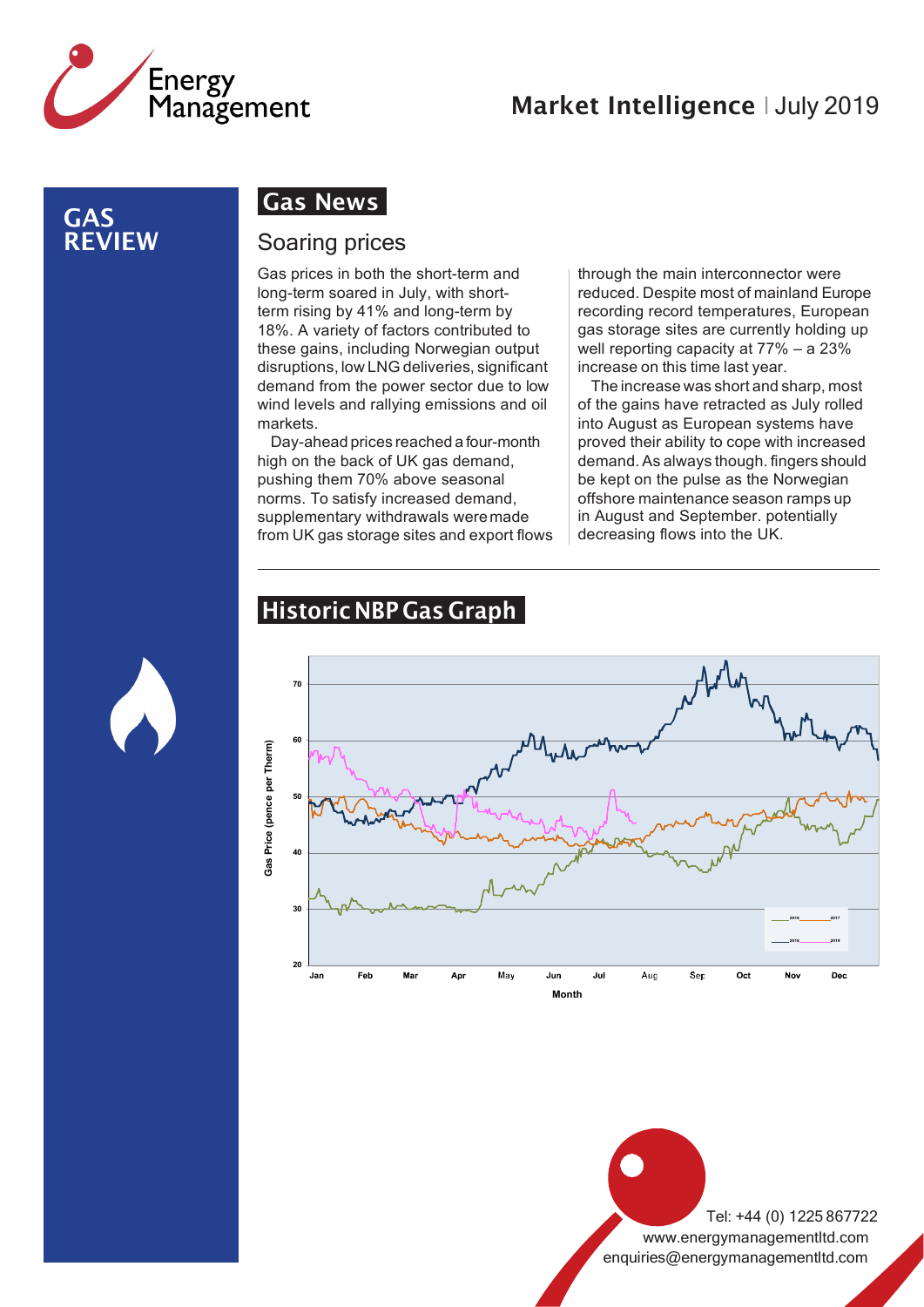

#### GAS REVIEW

### Gas News

#### Soaring prices

Gas prices in both the short-term and long-term soared in July, with shortterm rising by 41% and long-term by 18%. A variety of factors contributed to these gains, including Norwegian output disruptions, low LNG deliveries, significant demand from the power sector due to low wind levels and rallying emissions and oil markets.

Day-ahead prices reached a four-month high on the back of UK gas demand, pushing them 70% above seasonal norms. To satisfy increased demand, supplementary withdrawals weremade from UK gas storage sites and export flows through the main interconnector were reduced. Despite most of mainland Europe recording record temperatures, European gas storage sites are currently holding up well reporting capacity at 77% – a 23% increase on this time last year.

The increase was short and sharp, most of the gains have retracted as July rolled into August as European systems have proved their ability to cope with increased demand. As always though. fingers should be kept on the pulse as the Norwegian offshore maintenance season ramps up in August and September. potentially decreasing flows into the UK.



**20**

Jar

Fet

Ma

Apr

May

### Historic NBP Gas Graph

Tel: +44 (0) 1225 867722 [www.energymanagementltd.com](http://www.energymanagementltd.com/) [enquiries@energymanagementltd.com](mailto:enquiries@energymanagementltd.com)

**2016 2017 2018 2019**

Dec

No۱

**Month**

Jul

Aug

Sep

Oct

Jun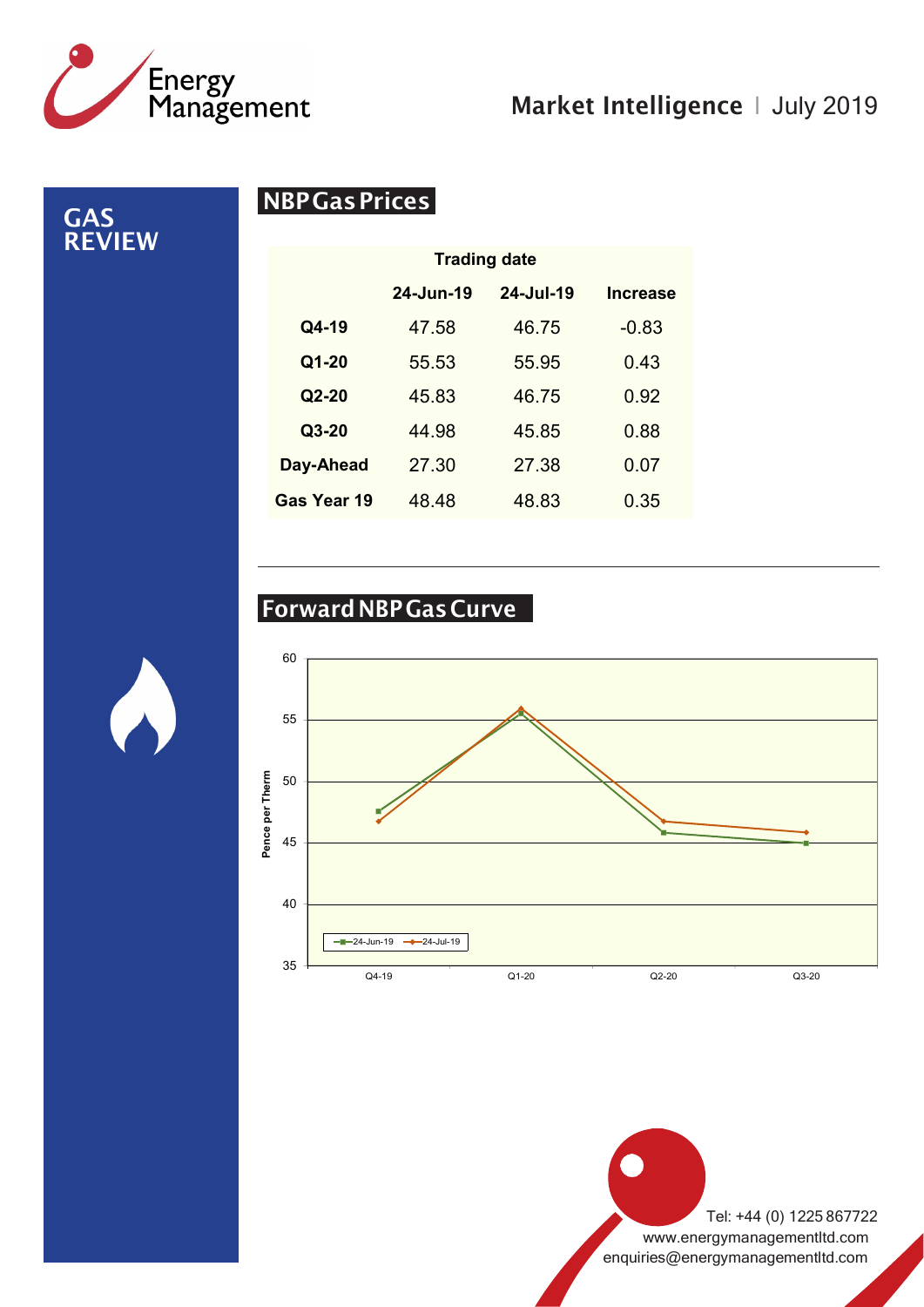

GAS REVIEW

# Market Intelligence | July 2019

NBPGasPrices

| <b>Trading date</b> |               |           |                 |
|---------------------|---------------|-----------|-----------------|
|                     | $24 - Jun-19$ | 24-Jul-19 | <b>Increase</b> |
| Q4-19               | 47.58         | 46.75     | $-0.83$         |
| Q1-20               | 55.53         | 55.95     | 0.43            |
| $Q2-20$             | 45.83         | 46.75     | 0.92            |
| $Q3-20$             | 44.98         | 45.85     | 0.88            |
| Day-Ahead           | 27.30         | 27.38     | 0.07            |
| Gas Year 19         | 48.48         | 48.83     | 0.35            |

# ForwardNBPGasCurve



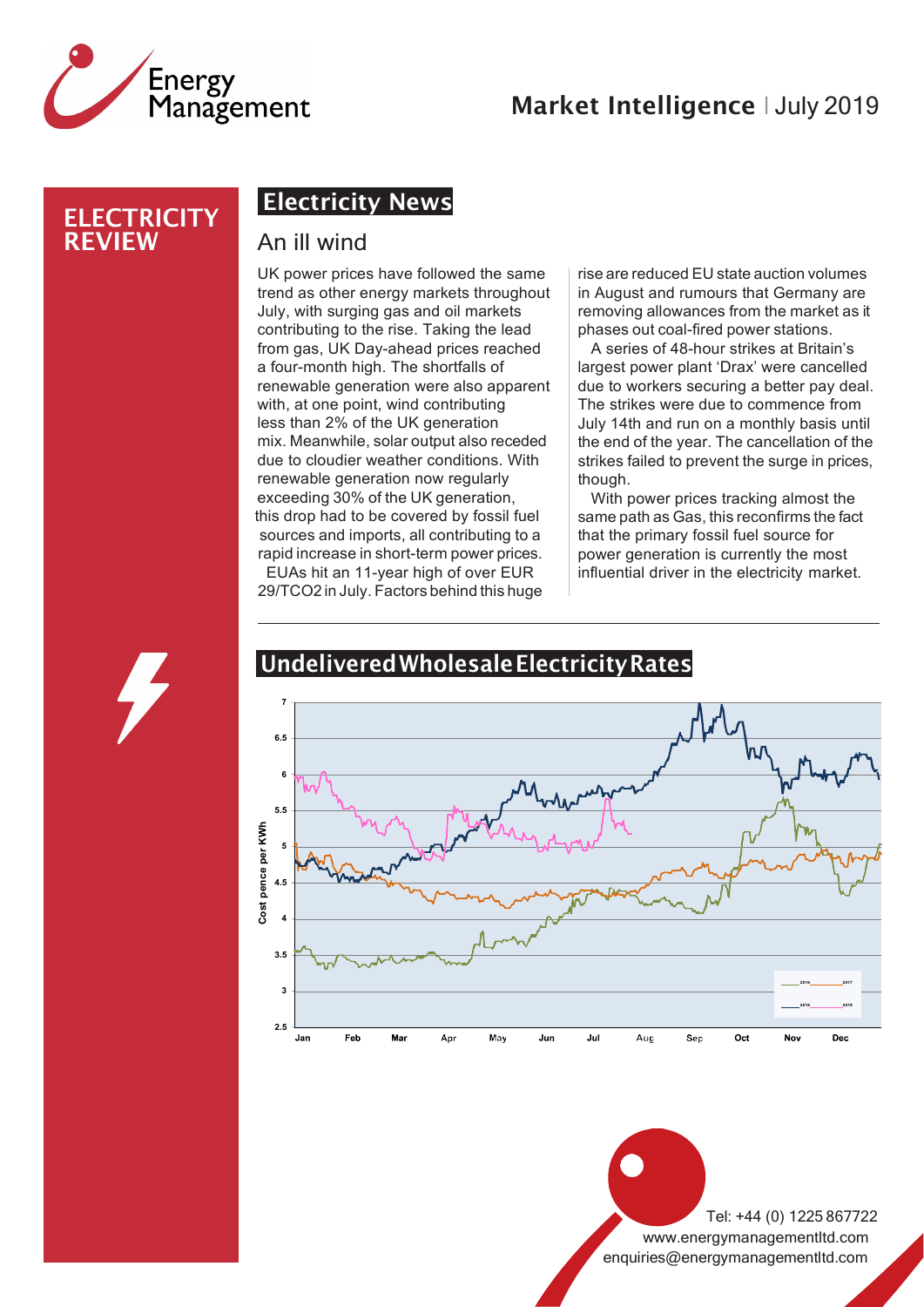

#### **ELECTRICITY** REVIEW

# Electricity News

#### An ill wind

UK power prices have followed the same trend as other energy markets throughout July, with surging gas and oil markets contributing to the rise. Taking the lead from gas, UK Day-ahead prices reached a four-month high. The shortfalls of renewable generation were also apparent with, at one point, wind contributing less than 2% of the UK generation mix.Meanwhile, solar output also receded due to cloudier weather conditions. With renewable generation now regularly exceeding 30% of the UK generation, this drop had to be covered by fossil fuel sources and imports, all contributing to a rapid increase in short-term power prices. EUAs hit an 11-year high of over EUR 29/TCO2 in July. Factors behind this huge

rise are reduced EU state auction volumes in August and rumours that Germany are removing allowances from the market as it phases out coal-fired power stations.

A series of 48-hour strikes at Britain's largest power plant 'Drax' were cancelled due to workers securing a better pay deal. The strikes were due to commence from July 14th and run on a monthly basis until the end of the year. The cancellation of the strikes failed to prevent the surge in prices, though.

With power prices tracking almost the same path as Gas, this reconfirms the fact that the primary fossil fuel source for power generation is currently the most influential driver in the electricity market.



#### UndeliveredWholesaleElectricityRates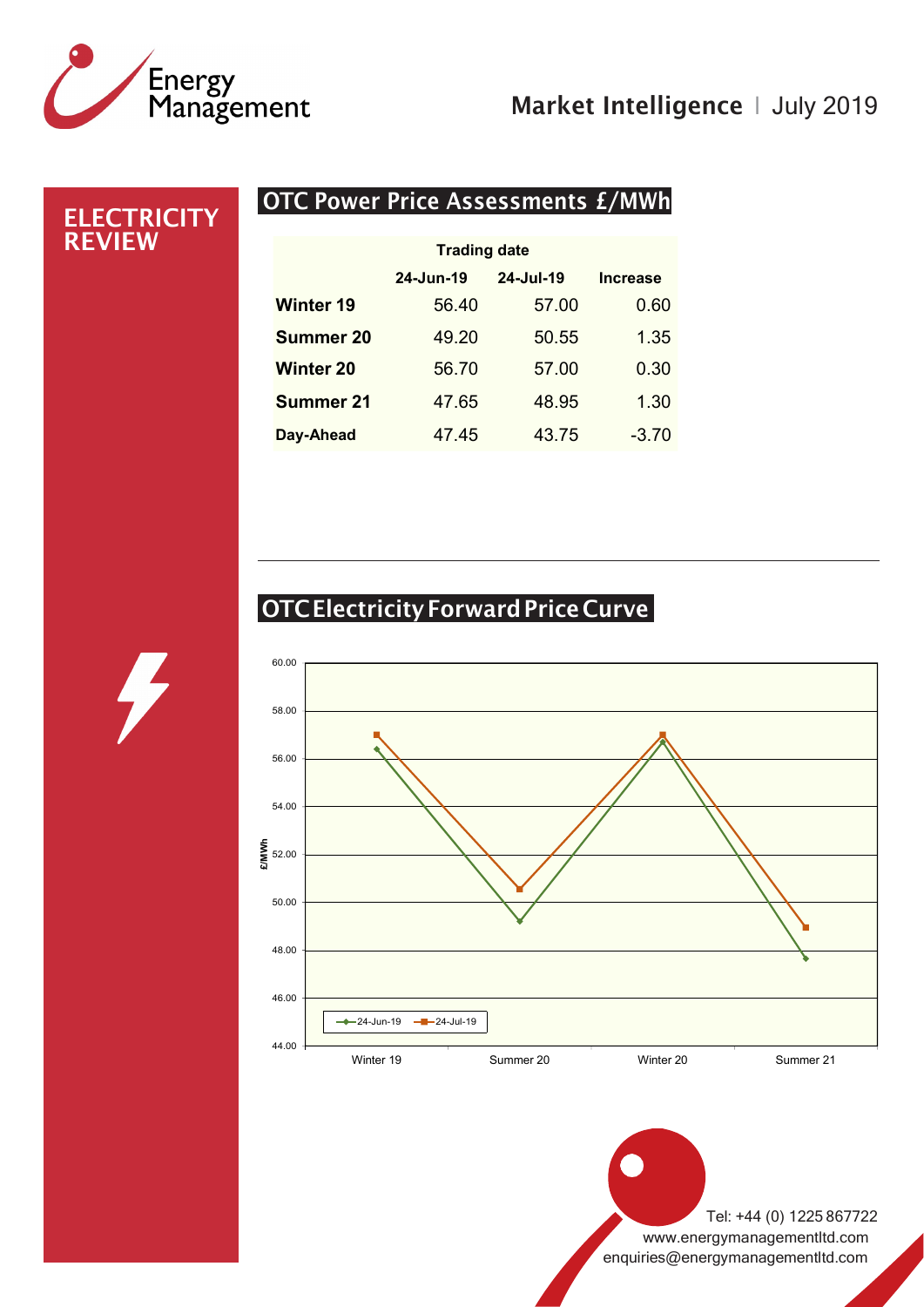

### OTC Power Price Assessments £/MWh **Trading date 24-Jun-19 24-Jul-19 Increase Winter 19** 56.40 57.00 0.60 **Summer 20** 49.20 50.55 1.35 **Winter 20** 56.70 57.00 0.30 **Summer 21** 47.65 48.95 1.30 **ELECTRICITY** REVIEW

# OTCElectricity Forward Price Curve

**Day-Ahead** 47.45 43.75 -3.70

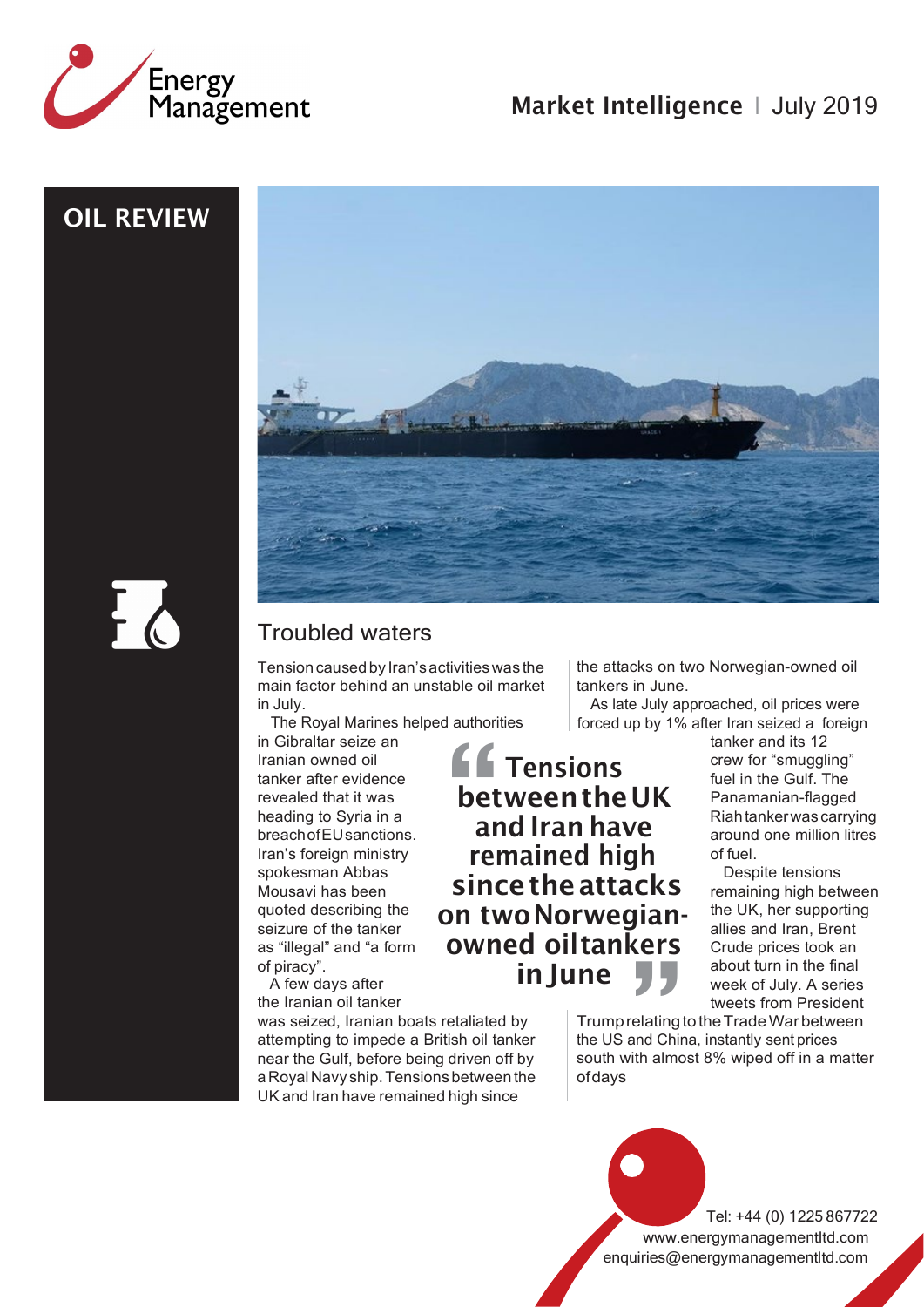

OIL REVIEW



### Troubled waters

Tensioncausedby Iran'sactivitieswas the main factor behind an unstable oil market in July.

The Royal Marines helped authorities<br>in Gibraltar seize an

Iranian owned oil tanker after evidence revealed that it was heading to Syria in a breachofEUsanctions. Iran's foreign ministry spokesman Abbas Mousavi has been quoted describing the seizure of the tanker as "illegal" and "a form of piracy".

A few days after the Iranian oil tanker

was seized, Iranian boats retaliated by attempting to impede a British oil tanker near the Gulf, before being driven off by aRoyalNavy ship.Tensionsbetween the UK and Iran have remained high since

the attacks on two Norwegian-owned oil tankers in June.

As late July approached, oil prices were forced up by 1% after Iran seized a foreign

Francisch Christian and the Christian owned oil tanker and its 12<br>
Iranian owned oil<br>
tanker after evidence<br>
revealed that it was<br>
heading to Syria in a<br>
between the UK<br>
and Iran have<br>
reachofEUsanctions.<br>
Iran's francisc **Tensions** crew for "smuggling" between the UK and Iran have remained high sincetheattacks on twoNorwegianowned oiltankers in lune

fuel in the Gulf. The Panamanian-flagged Riahtankerwas carrying around one million litres of fuel.

Despite tensions remaining high between the UK, her supporting allies and Iran, Brent Crude prices took an about turn in the final week of July. A series tweets from President

Trump relating to the Trade War between the US and China, instantly sent prices south with almost 8% wiped off in a matter ofdays